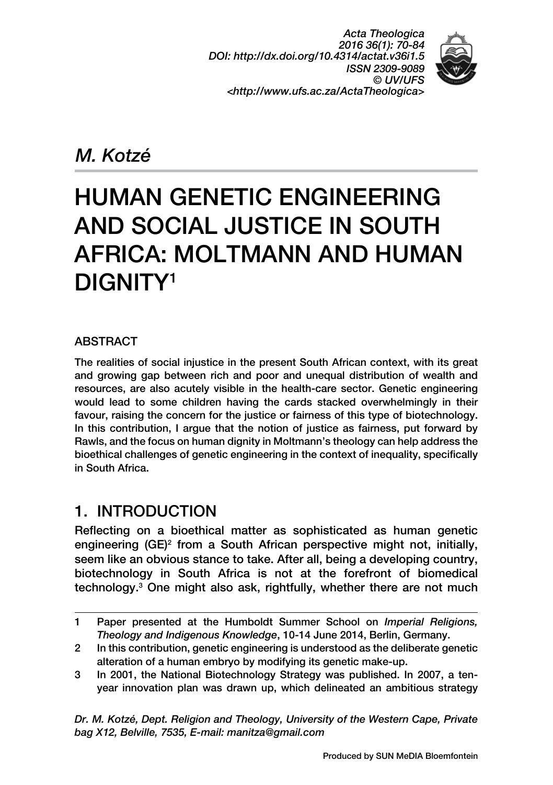*Acta Theologica 2016 36(1): 70‑84 DOI: http://dx.doi.org/10.4314/actat.v36i1.5 ISSN 2309-9089 © UV/UFS <http://www.ufs.ac.za/ActaTheologica>*



*M. Kotzé*

# HUMAN GENETIC ENGINEERING AND SOCIAL JUSTICE IN SOUTH AFRICA: MOLTMANN AND HUMAN DIGNITY1

#### **ARSTRACT**

The realities of social injustice in the present South African context, with its great and growing gap between rich and poor and unequal distribution of wealth and resources, are also acutely visible in the health-care sector. Genetic engineering would lead to some children having the cards stacked overwhelmingly in their favour, raising the concern for the justice or fairness of this type of biotechnology. In this contribution, I argue that the notion of justice as fairness, put forward by Rawls, and the focus on human dignity in Moltmann's theology can help address the bioethical challenges of genetic engineering in the context of inequality, specifically in South Africa.

### 1. INTRODUCTION

Reflecting on a bioethical matter as sophisticated as human genetic engineering (GE)<sup>2</sup> from a South African perspective might not, initially, seem like an obvious stance to take. After all, being a developing country, biotechnology in South Africa is not at the forefront of biomedical technology.3 One might also ask, rightfully, whether there are not much

*Dr. M. Kotzé, Dept. Religion and Theology, University of the Western Cape, Private bag X12, Belville, 7535, E-mail: manitza@gmail.com*

<sup>1</sup> Paper presented at the Humboldt Summer School on *Imperial Religions, Theology and Indigenous Knowledge*, 10-14 June 2014, Berlin, Germany.

<sup>2</sup> In this contribution, genetic engineering is understood as the deliberate genetic alteration of a human embryo by modifying its genetic make-up.

<sup>3</sup> In 2001, the National Biotechnology Strategy was published. In 2007, a tenyear innovation plan was drawn up, which delineated an ambitious strategy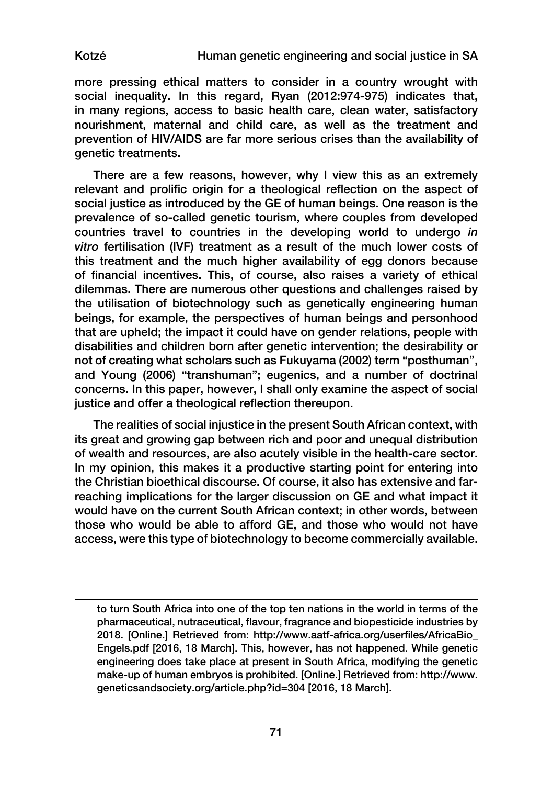more pressing ethical matters to consider in a country wrought with social inequality. In this regard, Ryan (2012:974-975) indicates that, in many regions, access to basic health care, clean water, satisfactory nourishment, maternal and child care, as well as the treatment and prevention of HIV/AIDS are far more serious crises than the availability of genetic treatments.

There are a few reasons, however, why I view this as an extremely relevant and prolific origin for a theological reflection on the aspect of social justice as introduced by the GE of human beings. One reason is the prevalence of so-called genetic tourism, where couples from developed countries travel to countries in the developing world to undergo *in vitro* fertilisation (IVF) treatment as a result of the much lower costs of this treatment and the much higher availability of egg donors because of financial incentives. This, of course, also raises a variety of ethical dilemmas. There are numerous other questions and challenges raised by the utilisation of biotechnology such as genetically engineering human beings, for example, the perspectives of human beings and personhood that are upheld; the impact it could have on gender relations, people with disabilities and children born after genetic intervention; the desirability or not of creating what scholars such as Fukuyama (2002) term "posthuman", and Young (2006) "transhuman"; eugenics, and a number of doctrinal concerns. In this paper, however, I shall only examine the aspect of social justice and offer a theological reflection thereupon.

The realities of social injustice in the present South African context, with its great and growing gap between rich and poor and unequal distribution of wealth and resources, are also acutely visible in the health-care sector. In my opinion, this makes it a productive starting point for entering into the Christian bioethical discourse. Of course, it also has extensive and farreaching implications for the larger discussion on GE and what impact it would have on the current South African context; in other words, between those who would be able to afford GE, and those who would not have access, were this type of biotechnology to become commercially available.

to turn South Africa into one of the top ten nations in the world in terms of the pharmaceutical, nutraceutical, flavour, fragrance and biopesticide industries by 2018. [Online.] Retrieved from: http://www.aatf-africa.org/userfiles/AfricaBio\_ Engels.pdf [2016, 18 March]. This, however, has not happened. While genetic engineering does take place at present in South Africa, modifying the genetic make-up of human embryos is prohibited. [Online.] Retrieved from: http://www. geneticsandsociety.org/article.php?id=304 [2016, 18 March].

71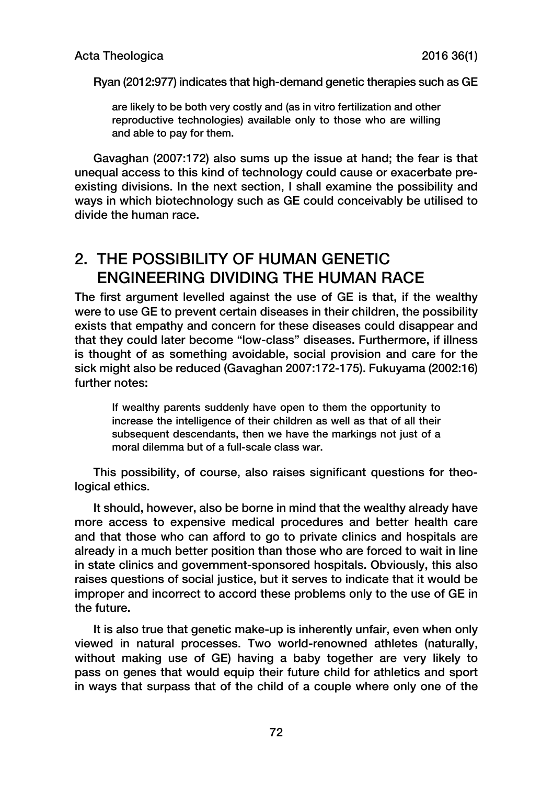Ryan (2012:977) indicates that high-demand genetic therapies such as GE

are likely to be both very costly and (as in vitro fertilization and other reproductive technologies) available only to those who are willing and able to pay for them.

Gavaghan (2007:172) also sums up the issue at hand; the fear is that unequal access to this kind of technology could cause or exacerbate preexisting divisions. In the next section, I shall examine the possibility and ways in which biotechnology such as GE could conceivably be utilised to divide the human race.

# 2. THE POSSIBILITY OF HUMAN GENETIC ENGINEERING DIVIDING THE HUMAN RACE

The first argument levelled against the use of GE is that, if the wealthy were to use GE to prevent certain diseases in their children, the possibility exists that empathy and concern for these diseases could disappear and that they could later become "low-class" diseases. Furthermore, if illness is thought of as something avoidable, social provision and care for the sick might also be reduced (Gavaghan 2007:172-175). Fukuyama (2002:16) further notes:

If wealthy parents suddenly have open to them the opportunity to increase the intelligence of their children as well as that of all their subsequent descendants, then we have the markings not just of a moral dilemma but of a full-scale class war.

This possibility, of course, also raises significant questions for theological ethics.

It should, however, also be borne in mind that the wealthy already have more access to expensive medical procedures and better health care and that those who can afford to go to private clinics and hospitals are already in a much better position than those who are forced to wait in line in state clinics and government-sponsored hospitals. Obviously, this also raises questions of social justice, but it serves to indicate that it would be improper and incorrect to accord these problems only to the use of GE in the future.

It is also true that genetic make-up is inherently unfair, even when only viewed in natural processes. Two world-renowned athletes (naturally, without making use of GE) having a baby together are very likely to pass on genes that would equip their future child for athletics and sport in ways that surpass that of the child of a couple where only one of the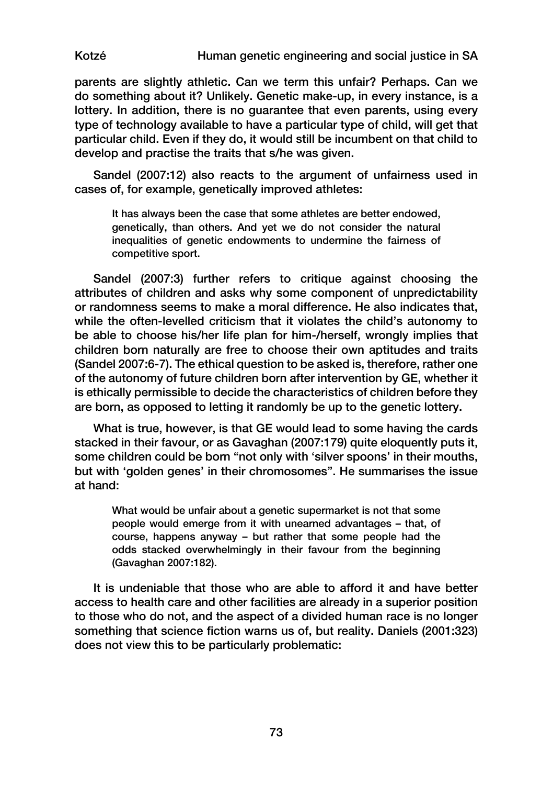parents are slightly athletic. Can we term this unfair? Perhaps. Can we do something about it? Unlikely. Genetic make-up, in every instance, is a lottery. In addition, there is no guarantee that even parents, using every type of technology available to have a particular type of child, will get that particular child. Even if they do, it would still be incumbent on that child to develop and practise the traits that s/he was given.

Sandel (2007:12) also reacts to the argument of unfairness used in cases of, for example, genetically improved athletes:

It has always been the case that some athletes are better endowed, genetically, than others. And yet we do not consider the natural inequalities of genetic endowments to undermine the fairness of competitive sport.

Sandel (2007:3) further refers to critique against choosing the attributes of children and asks why some component of unpredictability or randomness seems to make a moral difference. He also indicates that, while the often-levelled criticism that it violates the child's autonomy to be able to choose his/her life plan for him-/herself, wrongly implies that children born naturally are free to choose their own aptitudes and traits (Sandel 2007:6-7). The ethical question to be asked is, therefore, rather one of the autonomy of future children born after intervention by GE, whether it is ethically permissible to decide the characteristics of children before they are born, as opposed to letting it randomly be up to the genetic lottery.

What is true, however, is that GE would lead to some having the cards stacked in their favour, or as Gavaghan (2007:179) quite eloquently puts it, some children could be born "not only with 'silver spoons' in their mouths, but with 'golden genes' in their chromosomes". He summarises the issue at hand:

What would be unfair about a genetic supermarket is not that some people would emerge from it with unearned advantages – that, of course, happens anyway – but rather that some people had the odds stacked overwhelmingly in their favour from the beginning (Gavaghan 2007:182).

It is undeniable that those who are able to afford it and have better access to health care and other facilities are already in a superior position to those who do not, and the aspect of a divided human race is no longer something that science fiction warns us of, but reality. Daniels (2001:323) does not view this to be particularly problematic:

73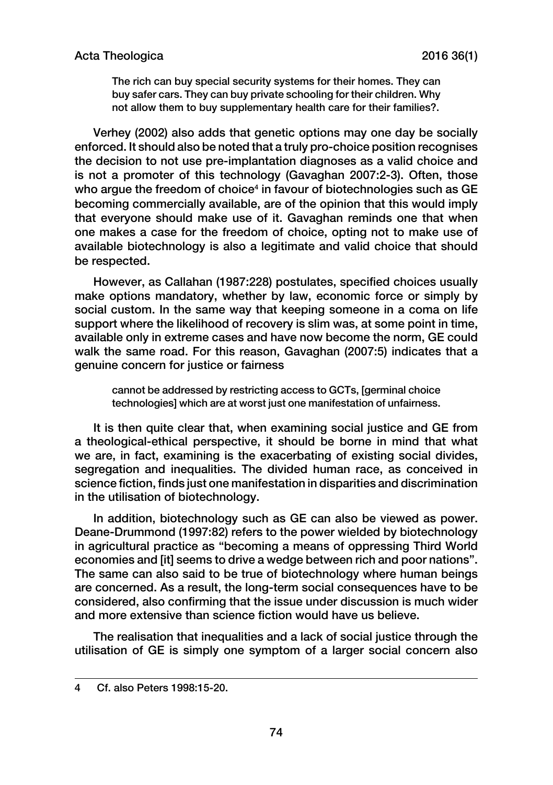The rich can buy special security systems for their homes. They can buy safer cars. They can buy private schooling for their children. Why not allow them to buy supplementary health care for their families?.

Verhey (2002) also adds that genetic options may one day be socially enforced. It should also be noted that a truly pro-choice position recognises the decision to not use pre-implantation diagnoses as a valid choice and is not a promoter of this technology (Gavaghan 2007:2-3). Often, those who argue the freedom of choice $\rm ^4$  in favour of biotechnologies such as GE becoming commercially available, are of the opinion that this would imply that everyone should make use of it. Gavaghan reminds one that when one makes a case for the freedom of choice, opting not to make use of available biotechnology is also a legitimate and valid choice that should be respected.

However, as Callahan (1987:228) postulates, specified choices usually make options mandatory, whether by law, economic force or simply by social custom. In the same way that keeping someone in a coma on life support where the likelihood of recovery is slim was, at some point in time, available only in extreme cases and have now become the norm, GE could walk the same road. For this reason, Gavaghan (2007:5) indicates that a genuine concern for justice or fairness

cannot be addressed by restricting access to GCTs, [germinal choice technologies] which are at worst just one manifestation of unfairness.

It is then quite clear that, when examining social justice and GE from a theological-ethical perspective, it should be borne in mind that what we are, in fact, examining is the exacerbating of existing social divides, segregation and inequalities. The divided human race, as conceived in science fiction, finds just one manifestation in disparities and discrimination in the utilisation of biotechnology.

In addition, biotechnology such as GE can also be viewed as power. Deane-Drummond (1997:82) refers to the power wielded by biotechnology in agricultural practice as "becoming a means of oppressing Third World economies and [it] seems to drive a wedge between rich and poor nations". The same can also said to be true of biotechnology where human beings are concerned. As a result, the long-term social consequences have to be considered, also confirming that the issue under discussion is much wider and more extensive than science fiction would have us believe.

The realisation that inequalities and a lack of social justice through the utilisation of GE is simply one symptom of a larger social concern also

<sup>4</sup> Cf. also Peters 1998:15-20.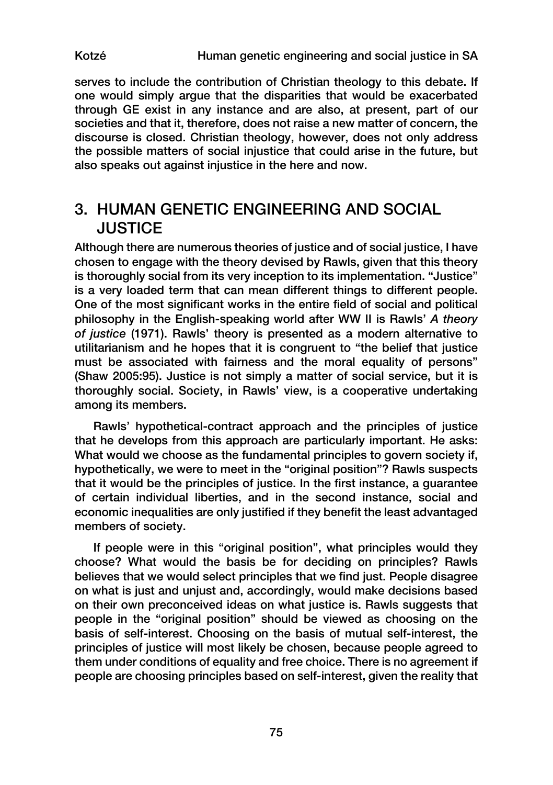serves to include the contribution of Christian theology to this debate. If one would simply argue that the disparities that would be exacerbated through GE exist in any instance and are also, at present, part of our societies and that it, therefore, does not raise a new matter of concern, the discourse is closed. Christian theology, however, does not only address the possible matters of social injustice that could arise in the future, but also speaks out against injustice in the here and now.

# 3. HUMAN GENETIC ENGINEERING AND SOCIAL **JUSTICE**

Although there are numerous theories of justice and of social justice, I have chosen to engage with the theory devised by Rawls, given that this theory is thoroughly social from its very inception to its implementation. "Justice" is a very loaded term that can mean different things to different people. One of the most significant works in the entire field of social and political philosophy in the English-speaking world after WW II is Rawls' *A theory of justice* (1971). Rawls' theory is presented as a modern alternative to utilitarianism and he hopes that it is congruent to "the belief that justice must be associated with fairness and the moral equality of persons" (Shaw 2005:95). Justice is not simply a matter of social service, but it is thoroughly social. Society, in Rawls' view, is a cooperative undertaking among its members.

Rawls' hypothetical-contract approach and the principles of justice that he develops from this approach are particularly important. He asks: What would we choose as the fundamental principles to govern society if, hypothetically, we were to meet in the "original position"? Rawls suspects that it would be the principles of justice. In the first instance, a guarantee of certain individual liberties, and in the second instance, social and economic inequalities are only justified if they benefit the least advantaged members of society.

If people were in this "original position", what principles would they choose? What would the basis be for deciding on principles? Rawls believes that we would select principles that we find just. People disagree on what is just and unjust and, accordingly, would make decisions based on their own preconceived ideas on what justice is. Rawls suggests that people in the "original position" should be viewed as choosing on the basis of self-interest. Choosing on the basis of mutual self-interest, the principles of justice will most likely be chosen, because people agreed to them under conditions of equality and free choice. There is no agreement if people are choosing principles based on self-interest, given the reality that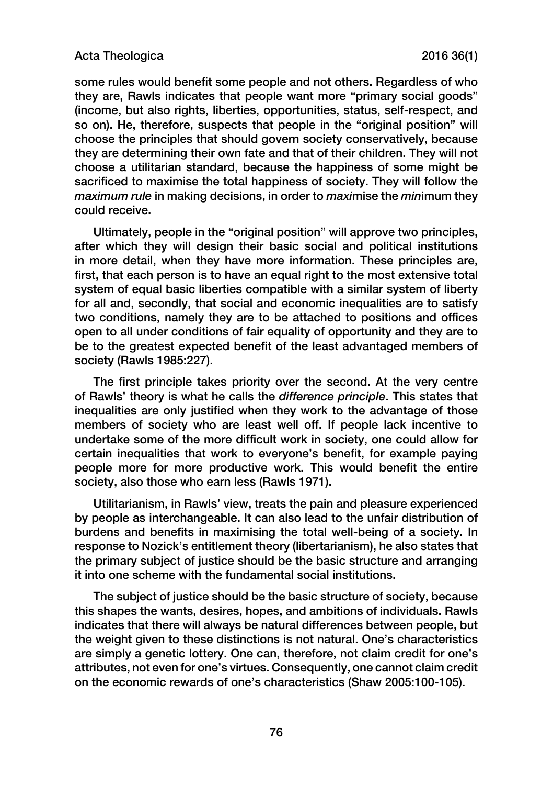some rules would benefit some people and not others. Regardless of who they are, Rawls indicates that people want more "primary social goods" (income, but also rights, liberties, opportunities, status, self-respect, and so on). He, therefore, suspects that people in the "original position" will choose the principles that should govern society conservatively, because they are determining their own fate and that of their children. They will not choose a utilitarian standard, because the happiness of some might be sacrificed to maximise the total happiness of society. They will follow the *maximum rule* in making decisions, in order to *maxi*mise the *min*imum they could receive.

Ultimately, people in the "original position" will approve two principles, after which they will design their basic social and political institutions in more detail, when they have more information. These principles are, first, that each person is to have an equal right to the most extensive total system of equal basic liberties compatible with a similar system of liberty for all and, secondly, that social and economic inequalities are to satisfy two conditions, namely they are to be attached to positions and offices open to all under conditions of fair equality of opportunity and they are to be to the greatest expected benefit of the least advantaged members of society (Rawls 1985:227).

The first principle takes priority over the second. At the very centre of Rawls' theory is what he calls the *difference principle*. This states that inequalities are only justified when they work to the advantage of those members of society who are least well off. If people lack incentive to undertake some of the more difficult work in society, one could allow for certain inequalities that work to everyone's benefit, for example paying people more for more productive work. This would benefit the entire society, also those who earn less (Rawls 1971).

Utilitarianism, in Rawls' view, treats the pain and pleasure experienced by people as interchangeable. It can also lead to the unfair distribution of burdens and benefits in maximising the total well-being of a society. In response to Nozick's entitlement theory (libertarianism), he also states that the primary subject of justice should be the basic structure and arranging it into one scheme with the fundamental social institutions.

The subject of justice should be the basic structure of society, because this shapes the wants, desires, hopes, and ambitions of individuals. Rawls indicates that there will always be natural differences between people, but the weight given to these distinctions is not natural. One's characteristics are simply a genetic lottery. One can, therefore, not claim credit for one's attributes, not even for one's virtues. Consequently, one cannot claim credit on the economic rewards of one's characteristics (Shaw 2005:100-105).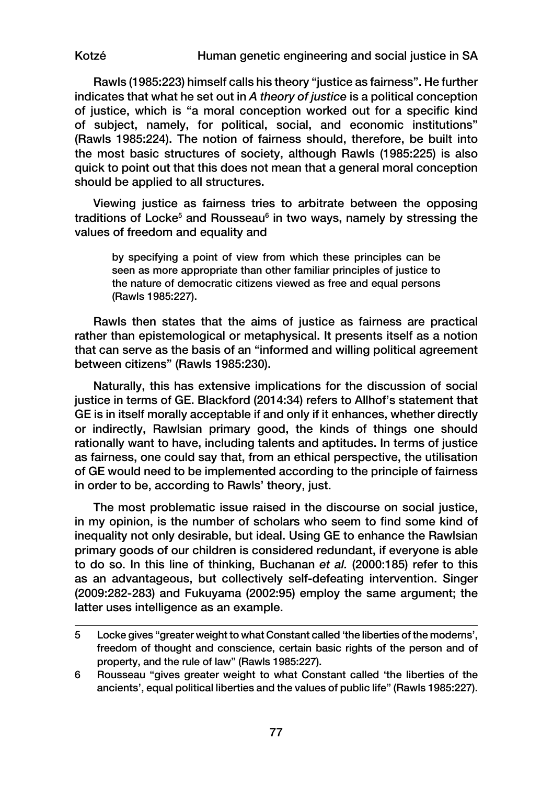Rawls (1985:223) himself calls his theory "justice as fairness". He further indicates that what he set out in *A theory of justice* is a political conception of justice, which is "a moral conception worked out for a specific kind of subject, namely, for political, social, and economic institutions" (Rawls 1985:224). The notion of fairness should, therefore, be built into the most basic structures of society, although Rawls (1985:225) is also quick to point out that this does not mean that a general moral conception should be applied to all structures.

Viewing justice as fairness tries to arbitrate between the opposing traditions of Locke<sup>5</sup> and Rousseau<sup>6</sup> in two ways, namely by stressing the values of freedom and equality and

by specifying a point of view from which these principles can be seen as more appropriate than other familiar principles of justice to the nature of democratic citizens viewed as free and equal persons (Rawls 1985:227).

Rawls then states that the aims of justice as fairness are practical rather than epistemological or metaphysical. It presents itself as a notion that can serve as the basis of an "informed and willing political agreement between citizens" (Rawls 1985:230).

Naturally, this has extensive implications for the discussion of social justice in terms of GE. Blackford (2014:34) refers to Allhof's statement that GE is in itself morally acceptable if and only if it enhances, whether directly or indirectly, Rawlsian primary good, the kinds of things one should rationally want to have, including talents and aptitudes. In terms of justice as fairness, one could say that, from an ethical perspective, the utilisation of GE would need to be implemented according to the principle of fairness in order to be, according to Rawls' theory, just.

The most problematic issue raised in the discourse on social justice, in my opinion, is the number of scholars who seem to find some kind of inequality not only desirable, but ideal. Using GE to enhance the Rawlsian primary goods of our children is considered redundant, if everyone is able to do so. In this line of thinking, Buchanan *et al.* (2000:185) refer to this as an advantageous, but collectively self-defeating intervention. Singer (2009:282-283) and Fukuyama (2002:95) employ the same argument; the latter uses intelligence as an example.

<sup>5</sup> Locke gives "greater weight to what Constant called 'the liberties of the moderns', freedom of thought and conscience, certain basic rights of the person and of property, and the rule of law" (Rawls 1985:227).

<sup>6</sup> Rousseau "gives greater weight to what Constant called 'the liberties of the ancients', equal political liberties and the values of public life" (Rawls 1985:227).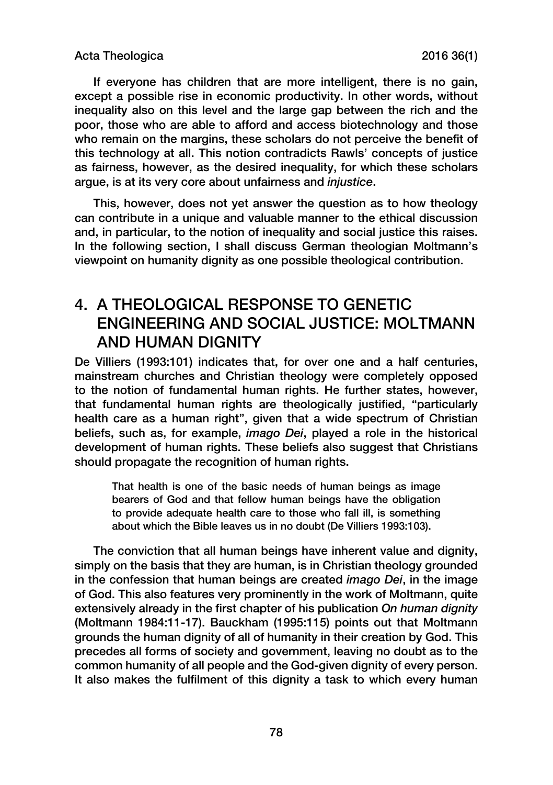If everyone has children that are more intelligent, there is no gain, except a possible rise in economic productivity. In other words, without inequality also on this level and the large gap between the rich and the poor, those who are able to afford and access biotechnology and those who remain on the margins, these scholars do not perceive the benefit of this technology at all. This notion contradicts Rawls' concepts of justice as fairness, however, as the desired inequality, for which these scholars argue, is at its very core about unfairness and *injustice*.

This, however, does not yet answer the question as to how theology can contribute in a unique and valuable manner to the ethical discussion and, in particular, to the notion of inequality and social justice this raises. In the following section, I shall discuss German theologian Moltmann's viewpoint on humanity dignity as one possible theological contribution.

## 4. A THEOLOGICAL RESPONSE TO GENETIC ENGINEERING AND SOCIAL JUSTICE: MOLTMANN AND HUMAN DIGNITY

De Villiers (1993:101) indicates that, for over one and a half centuries, mainstream churches and Christian theology were completely opposed to the notion of fundamental human rights. He further states, however, that fundamental human rights are theologically justified, "particularly health care as a human right", given that a wide spectrum of Christian beliefs, such as, for example, *imago Dei*, played a role in the historical development of human rights. These beliefs also suggest that Christians should propagate the recognition of human rights.

That health is one of the basic needs of human beings as image bearers of God and that fellow human beings have the obligation to provide adequate health care to those who fall ill, is something about which the Bible leaves us in no doubt (De Villiers 1993:103).

The conviction that all human beings have inherent value and dignity, simply on the basis that they are human, is in Christian theology grounded in the confession that human beings are created *imago Dei*, in the image of God. This also features very prominently in the work of Moltmann, quite extensively already in the first chapter of his publication *On human dignity*  (Moltmann 1984:11-17). Bauckham (1995:115) points out that Moltmann grounds the human dignity of all of humanity in their creation by God. This precedes all forms of society and government, leaving no doubt as to the common humanity of all people and the God-given dignity of every person. It also makes the fulfilment of this dignity a task to which every human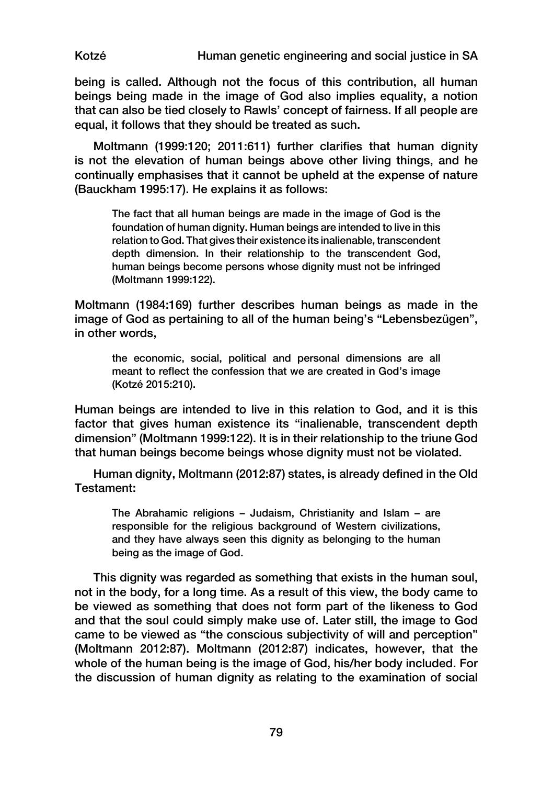Kotzé Human genetic engineering and social justice in SA

being is called. Although not the focus of this contribution, all human beings being made in the image of God also implies equality, a notion that can also be tied closely to Rawls' concept of fairness. If all people are equal, it follows that they should be treated as such.

Moltmann (1999:120; 2011:611) further clarifies that human dignity is not the elevation of human beings above other living things, and he continually emphasises that it cannot be upheld at the expense of nature (Bauckham 1995:17). He explains it as follows:

The fact that all human beings are made in the image of God is the foundation of human dignity. Human beings are intended to live in this relation to God. That gives their existence its inalienable, transcendent depth dimension. In their relationship to the transcendent God, human beings become persons whose dignity must not be infringed (Moltmann 1999:122).

Moltmann (1984:169) further describes human beings as made in the image of God as pertaining to all of the human being's "Lebensbezügen". in other words,

the economic, social, political and personal dimensions are all meant to reflect the confession that we are created in God's image (Kotzé 2015:210).

Human beings are intended to live in this relation to God, and it is this factor that gives human existence its "inalienable, transcendent depth dimension" (Moltmann 1999:122). It is in their relationship to the triune God that human beings become beings whose dignity must not be violated.

Human dignity, Moltmann (2012:87) states, is already defined in the Old Testament:

The Abrahamic religions – Judaism, Christianity and Islam – are responsible for the religious background of Western civilizations, and they have always seen this dignity as belonging to the human being as the image of God.

This dignity was regarded as something that exists in the human soul, not in the body, for a long time. As a result of this view, the body came to be viewed as something that does not form part of the likeness to God and that the soul could simply make use of. Later still, the image to God came to be viewed as "the conscious subjectivity of will and perception" (Moltmann 2012:87). Moltmann (2012:87) indicates, however, that the whole of the human being is the image of God, his/her body included. For the discussion of human dignity as relating to the examination of social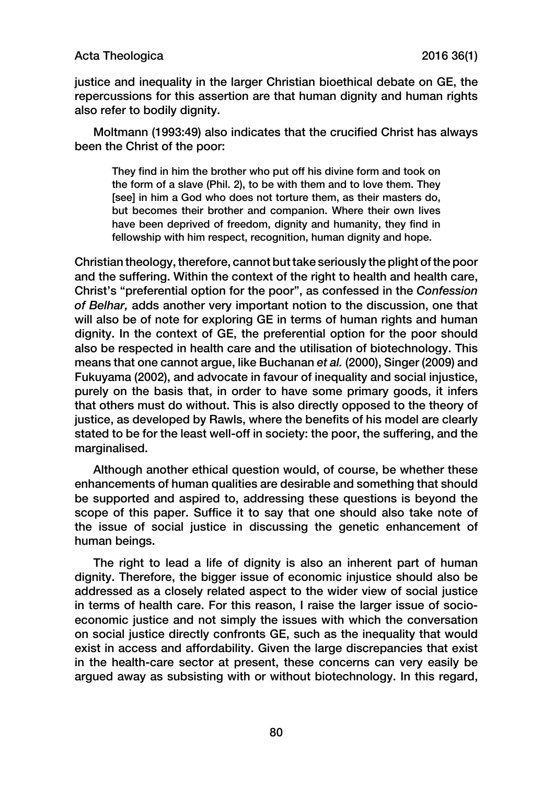justice and inequality in the larger Christian bioethical debate on GE, the repercussions for this assertion are that human dignity and human rights also refer to bodily dignity.

Moltmann (1993:49) also indicates that the crucified Christ has always been the Christ of the poor:

They find in him the brother who put off his divine form and took on the form of a slave (Phil. 2), to be with them and to love them. They [see] in him a God who does not torture them, as their masters do, but becomes their brother and companion. Where their own lives have been deprived of freedom, dignity and humanity, they find in fellowship with him respect, recognition, human dignity and hope.

Christian theology, therefore, cannot but take seriously the plight of the poor and the suffering. Within the context of the right to health and health care, Christ's "preferential option for the poor", as confessed in the *Confession of Belhar,* adds another very important notion to the discussion, one that will also be of note for exploring GE in terms of human rights and human dignity. In the context of GE, the preferential option for the poor should also be respected in health care and the utilisation of biotechnology. This means that one cannot argue, like Buchanan *et al.* (2000), Singer (2009) and Fukuyama (2002), and advocate in favour of inequality and social injustice, purely on the basis that, in order to have some primary goods, it infers that others must do without. This is also directly opposed to the theory of justice, as developed by Rawls, where the benefits of his model are clearly stated to be for the least well-off in society: the poor, the suffering, and the marginalised.

Although another ethical question would, of course, be whether these enhancements of human qualities are desirable and something that should be supported and aspired to, addressing these questions is beyond the scope of this paper. Suffice it to say that one should also take note of the issue of social justice in discussing the genetic enhancement of human beings.

The right to lead a life of dignity is also an inherent part of human dignity. Therefore, the bigger issue of economic injustice should also be addressed as a closely related aspect to the wider view of social justice in terms of health care. For this reason, I raise the larger issue of socioeconomic justice and not simply the issues with which the conversation on social justice directly confronts GE, such as the inequality that would exist in access and affordability. Given the large discrepancies that exist in the health-care sector at present, these concerns can very easily be argued away as subsisting with or without biotechnology. In this regard,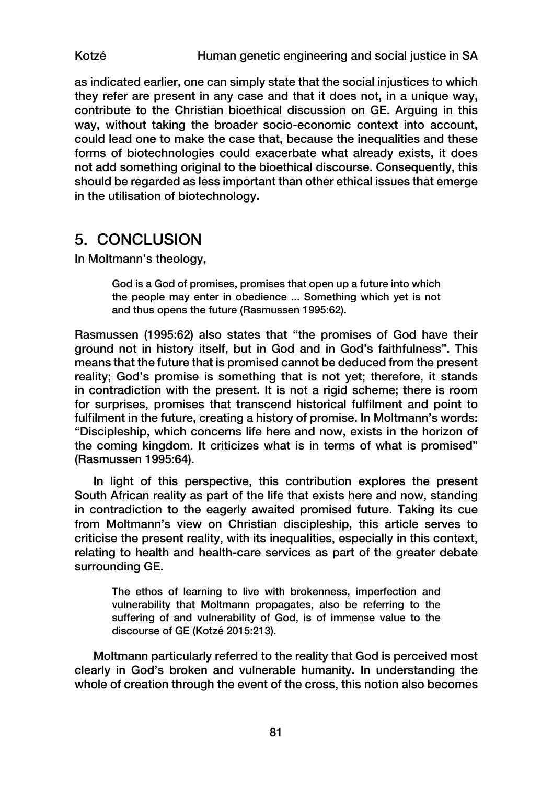as indicated earlier, one can simply state that the social injustices to which they refer are present in any case and that it does not, in a unique way, contribute to the Christian bioethical discussion on GE. Arguing in this way, without taking the broader socio-economic context into account, could lead one to make the case that, because the inequalities and these forms of biotechnologies could exacerbate what already exists, it does not add something original to the bioethical discourse. Consequently, this should be regarded as less important than other ethical issues that emerge in the utilisation of biotechnology.

### 5. CONCLUSION

In Moltmann's theology,

God is a God of promises, promises that open up a future into which the people may enter in obedience ... Something which yet is not and thus opens the future (Rasmussen 1995:62).

Rasmussen (1995:62) also states that "the promises of God have their ground not in history itself, but in God and in God's faithfulness". This means that the future that is promised cannot be deduced from the present reality; God's promise is something that is not yet; therefore, it stands in contradiction with the present. It is not a rigid scheme; there is room for surprises, promises that transcend historical fulfilment and point to fulfilment in the future, creating a history of promise. In Moltmann's words: "Discipleship, which concerns life here and now, exists in the horizon of the coming kingdom. It criticizes what is in terms of what is promised" (Rasmussen 1995:64).

In light of this perspective, this contribution explores the present South African reality as part of the life that exists here and now, standing in contradiction to the eagerly awaited promised future. Taking its cue from Moltmann's view on Christian discipleship, this article serves to criticise the present reality, with its inequalities, especially in this context, relating to health and health-care services as part of the greater debate surrounding GE.

The ethos of learning to live with brokenness, imperfection and vulnerability that Moltmann propagates, also be referring to the suffering of and vulnerability of God, is of immense value to the discourse of GE (Kotzé 2015:213).

Moltmann particularly referred to the reality that God is perceived most clearly in God's broken and vulnerable humanity. In understanding the whole of creation through the event of the cross, this notion also becomes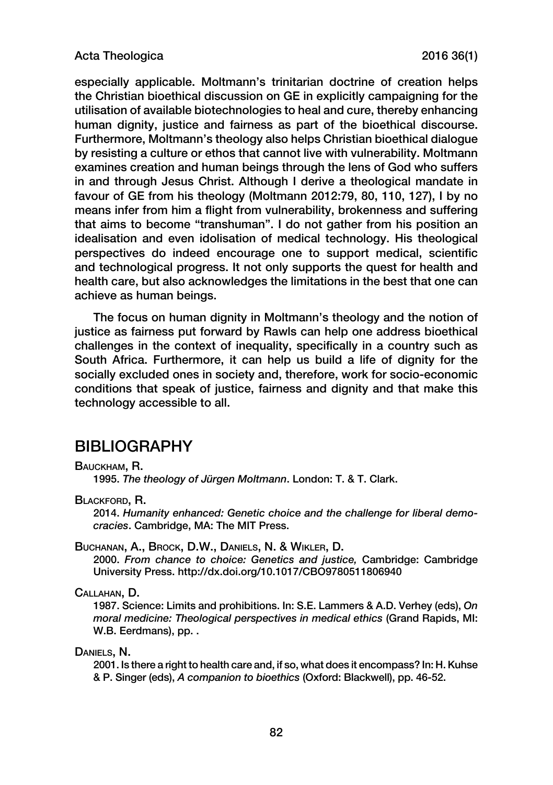especially applicable. Moltmann's trinitarian doctrine of creation helps the Christian bioethical discussion on GE in explicitly campaigning for the utilisation of available biotechnologies to heal and cure, thereby enhancing human dignity, justice and fairness as part of the bioethical discourse. Furthermore, Moltmann's theology also helps Christian bioethical dialogue by resisting a culture or ethos that cannot live with vulnerability. Moltmann examines creation and human beings through the lens of God who suffers in and through Jesus Christ. Although I derive a theological mandate in favour of GE from his theology (Moltmann 2012:79, 80, 110, 127), I by no means infer from him a flight from vulnerability, brokenness and suffering that aims to become "transhuman". I do not gather from his position an idealisation and even idolisation of medical technology. His theological perspectives do indeed encourage one to support medical, scientific and technological progress. It not only supports the quest for health and health care, but also acknowledges the limitations in the best that one can achieve as human beings.

The focus on human dignity in Moltmann's theology and the notion of justice as fairness put forward by Rawls can help one address bioethical challenges in the context of inequality, specifically in a country such as South Africa. Furthermore, it can help us build a life of dignity for the socially excluded ones in society and, therefore, work for socio-economic conditions that speak of justice, fairness and dignity and that make this technology accessible to all.

### BIBLIOGRAPHY

Bauckham, R.

1995. *The theology of Jürgen Moltmann*. London: T. & T. Clark.

BLACKFORD, R.

2014. *Humanity enhanced: Genetic choice and the challenge for liberal demo‑ cracies*. Cambridge, MA: The MIT Press.

Buchanan, A., Brock, D.W., Daniels, N. & Wikler, D.

2000. *From chance to choice: Genetics and justice,* Cambridge: Cambridge University Press. http://dx.doi.org/10.1017/CBO9780511806940

Callahan, D.

1987. Science: Limits and prohibitions. In: S.E. Lammers & A.D. Verhey (eds), *On moral medicine: Theological perspectives in medical ethics* (Grand Rapids, MI: W.B. Eerdmans), pp. .

DANIFLS, N.

2001. Is there a right to health care and, if so, what does it encompass? In: H.Kuhse & P. Singer (eds), *A companion to bioethics* (Oxford: Blackwell), pp. 46-52.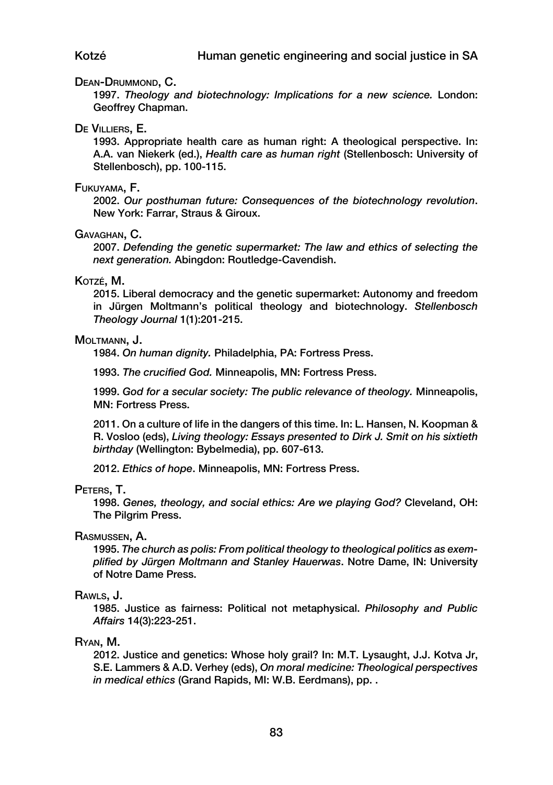#### Dean-Drummond, C.

1997. *Theology and biotechnology: Implications for a new science.* London: Geoffrey Chapman.

#### De Villiers, E.

1993. Appropriate health care as human right: A theological perspective. In: A.A. van Niekerk (ed.), *Health care as human right* (Stellenbosch: University of Stellenbosch), pp. 100-115.

#### Fukuyama, F.

2002. *Our posthuman future: Consequences of the biotechnology revolution*. New York: Farrar, Straus & Giroux.

#### Gavaghan, C.

2007. *Defending the genetic supermarket: The law and ethics of selecting the next generation.* Abingdon: Routledge-Cavendish.

#### Kotzé, M.

2015. Liberal democracy and the genetic supermarket: Autonomy and freedom in Jürgen Moltmann's political theology and biotechnology. *Stellenbosch Theology Journal* 1(1):201-215.

#### MOLTMANN, J.

1984. *On human dignity.* Philadelphia, PA: Fortress Press.

1993. *The crucified God.* Minneapolis, MN: Fortress Press.

1999. *God for a secular society: The public relevance of theology.* Minneapolis, MN: Fortress Press.

2011. On a culture of life in the dangers of this time. In: L. Hansen, N. Koopman & R. Vosloo (eds), *Living theology: Essays presented to Dirk J. Smit on his sixtieth birthday* (Wellington: Bybelmedia), pp. 607-613.

2012. *Ethics of hope*. Minneapolis, MN: Fortress Press.

#### Peters, T.

1998. *Genes, theology, and social ethics: Are we playing God?* Cleveland, OH: The Pilgrim Press.

#### Rasmussen, A.

1995. *The church as polis: From political theology to theological politics as exem‑ plified by Jürgen Moltmann and Stanley Hauerwas*. Notre Dame, IN: University of Notre Dame Press.

#### Rawls, J.

1985. Justice as fairness: Political not metaphysical. *Philosophy and Public Affairs* 14(3):223-251.

#### Ryan, M.

2012. Justice and genetics: Whose holy grail? In: M.T. Lysaught, J.J. Kotva Jr, S.E. Lammers & A.D. Verhey (eds), *On moral medicine: Theological perspectives in medical ethics* (Grand Rapids, MI: W.B. Eerdmans), pp. .